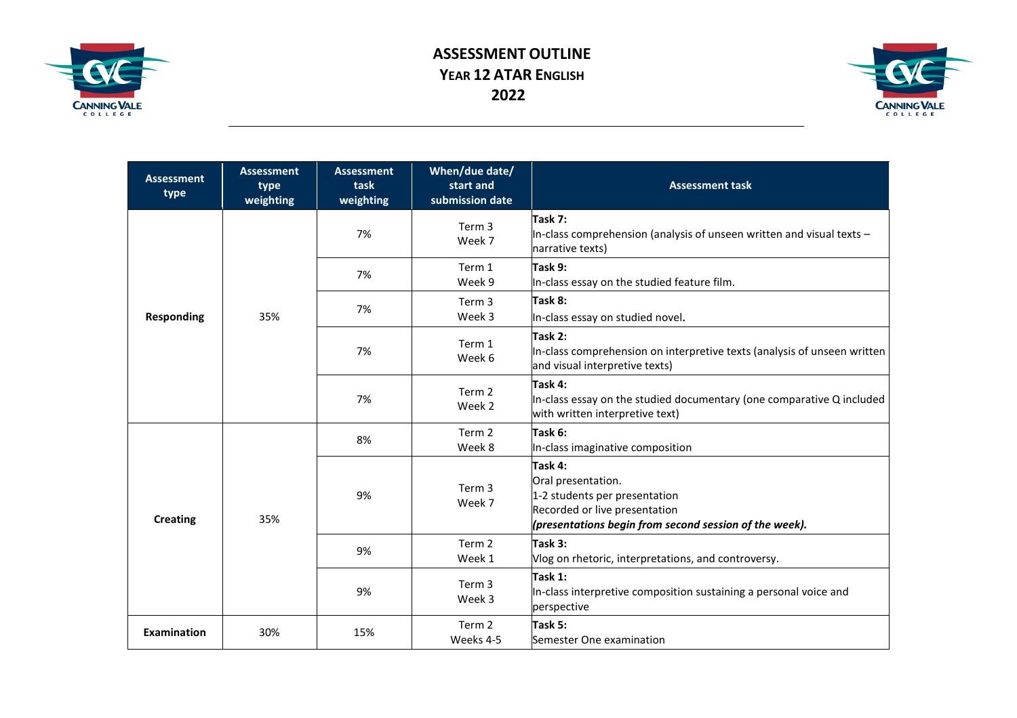

## **ASSESSMENT OUTLINE YEAR 12 ATAR ENGLISH 2022**



| <b>Assessment</b><br>type | <b>Assessment</b><br>type<br>weighting | <b>Assessment</b><br>task<br>weighting | When/due date/<br>start and<br>submission date | <b>Assessment task</b>                                                                                                                                    |
|---------------------------|----------------------------------------|----------------------------------------|------------------------------------------------|-----------------------------------------------------------------------------------------------------------------------------------------------------------|
| <b>Responding</b>         | 35%                                    | 7%                                     | Term 3<br>Week 7                               | Task 7:<br>In-class comprehension (analysis of unseen written and visual texts $-$<br>narrative texts)                                                    |
|                           |                                        | 7%                                     | Term 1<br>Week 9                               | Task 9:<br>In-class essay on the studied feature film.                                                                                                    |
|                           |                                        | 7%                                     | Term 3<br>Week 3                               | Task 8:<br>In-class essay on studied novel.                                                                                                               |
|                           |                                        | 7%                                     | Term 1<br>Week 6                               | Task 2:<br>In-class comprehension on interpretive texts (analysis of unseen written<br>and visual interpretive texts)                                     |
|                           |                                        | 7%                                     | Term 2<br>Week 2                               | Task 4:<br>In-class essay on the studied documentary (one comparative Q included<br>with written interpretive text)                                       |
| <b>Creating</b>           | 35%                                    | 8%                                     | Term 2<br>Week 8                               | Task 6:<br>In-class imaginative composition                                                                                                               |
|                           |                                        | 9%                                     | Term <sub>3</sub><br>Week 7                    | Task 4:<br>Oral presentation.<br>1-2 students per presentation<br>Recorded or live presentation<br>(presentations begin from second session of the week). |
|                           |                                        | 9%                                     | Term 2<br>Week 1                               | Task 3:<br>Vlog on rhetoric, interpretations, and controversy.                                                                                            |
|                           |                                        | 9%                                     | Term 3<br>Week 3                               | Task 1:<br>In-class interpretive composition sustaining a personal voice and<br>perspective                                                               |
| <b>Examination</b>        | 30%                                    | 15%                                    | Term 2<br>Weeks 4-5                            | Task 5:<br>Semester One examination                                                                                                                       |